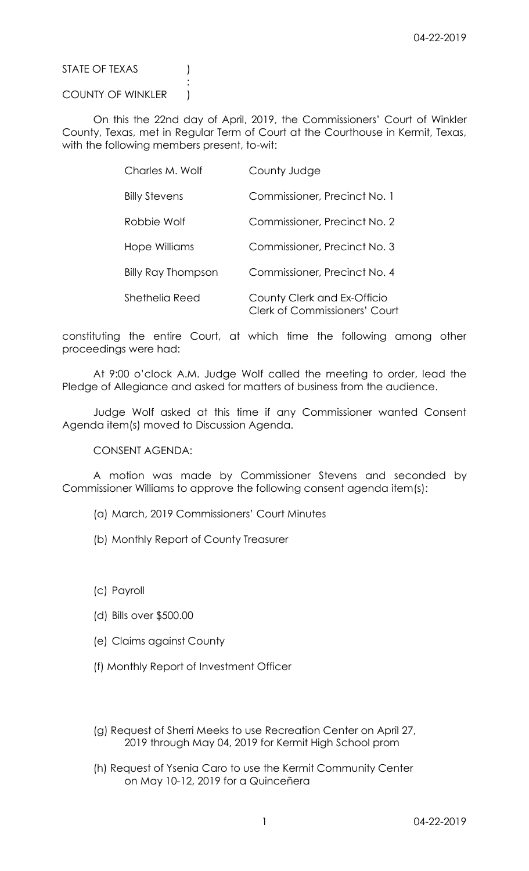STATE OF TEXAS (1)

## COUNTY OF WINKLER )

:

On this the 22nd day of April, 2019, the Commissioners' Court of Winkler County, Texas, met in Regular Term of Court at the Courthouse in Kermit, Texas, with the following members present, to-wit:

| Charles M. Wolf           | County Judge                                                        |
|---------------------------|---------------------------------------------------------------------|
| <b>Billy Stevens</b>      | Commissioner, Precinct No. 1                                        |
| Robbie Wolf               | Commissioner, Precinct No. 2                                        |
| Hope Williams             | Commissioner, Precinct No. 3                                        |
| <b>Billy Ray Thompson</b> | Commissioner, Precinct No. 4                                        |
| Shethelia Reed            | County Clerk and Ex-Officio<br><b>Clerk of Commissioners' Court</b> |

constituting the entire Court, at which time the following among other proceedings were had:

At 9:00 o'clock A.M. Judge Wolf called the meeting to order, lead the Pledge of Allegiance and asked for matters of business from the audience.

Judge Wolf asked at this time if any Commissioner wanted Consent Agenda item(s) moved to Discussion Agenda.

CONSENT AGENDA:

A motion was made by Commissioner Stevens and seconded by Commissioner Williams to approve the following consent agenda item(s):

- (a) March, 2019 Commissioners' Court Minutes
- (b) Monthly Report of County Treasurer
- (c) Payroll
- (d) Bills over \$500.00
- (e) Claims against County
- (f) Monthly Report of Investment Officer
- (g) Request of Sherri Meeks to use Recreation Center on April 27, 2019 through May 04, 2019 for Kermit High School prom
- (h) Request of Ysenia Caro to use the Kermit Community Center on May 10-12, 2019 for a Quinceñera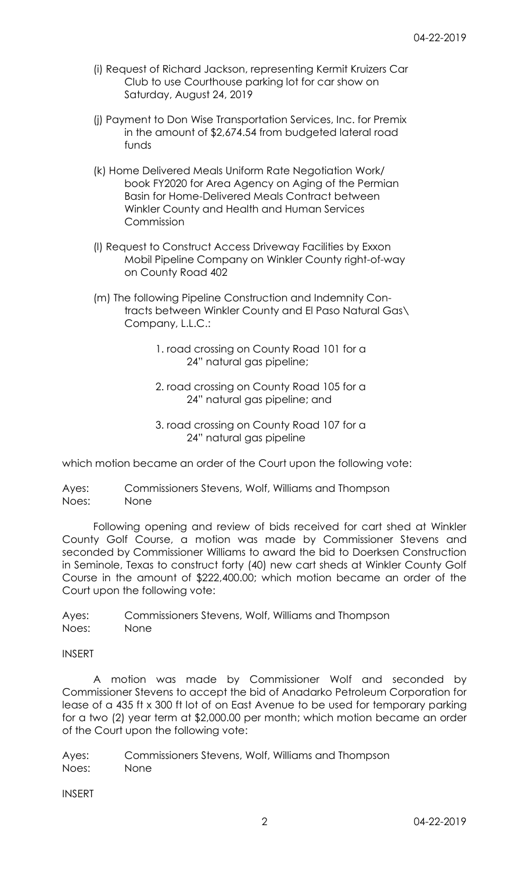- (i) Request of Richard Jackson, representing Kermit Kruizers Car Club to use Courthouse parking lot for car show on Saturday, August 24, 2019
- (j) Payment to Don Wise Transportation Services, Inc. for Premix in the amount of \$2,674.54 from budgeted lateral road funds
- (k) Home Delivered Meals Uniform Rate Negotiation Work/ book FY2020 for Area Agency on Aging of the Permian Basin for Home-Delivered Meals Contract between Winkler County and Health and Human Services Commission
- (l) Request to Construct Access Driveway Facilities by Exxon Mobil Pipeline Company on Winkler County right-of-way on County Road 402
- (m) The following Pipeline Construction and Indemnity Contracts between Winkler County and El Paso Natural Gas\ Company, L.L.C.:
	- 1. road crossing on County Road 101 for a 24" natural gas pipeline;
	- 2. road crossing on County Road 105 for a 24" natural gas pipeline; and
	- 3. road crossing on County Road 107 for a 24" natural gas pipeline

which motion became an order of the Court upon the following vote:

Ayes: Commissioners Stevens, Wolf, Williams and Thompson Noes: None

Following opening and review of bids received for cart shed at Winkler County Golf Course, a motion was made by Commissioner Stevens and seconded by Commissioner Williams to award the bid to Doerksen Construction in Seminole, Texas to construct forty (40) new cart sheds at Winkler County Golf Course in the amount of \$222,400.00; which motion became an order of the Court upon the following vote:

Ayes: Commissioners Stevens, Wolf, Williams and Thompson Noes: None

INSERT

A motion was made by Commissioner Wolf and seconded by Commissioner Stevens to accept the bid of Anadarko Petroleum Corporation for lease of a 435 ft x 300 ft lot of on East Avenue to be used for temporary parking for a two (2) year term at \$2,000.00 per month; which motion became an order of the Court upon the following vote:

Ayes: Commissioners Stevens, Wolf, Williams and Thompson Noes: None

INSERT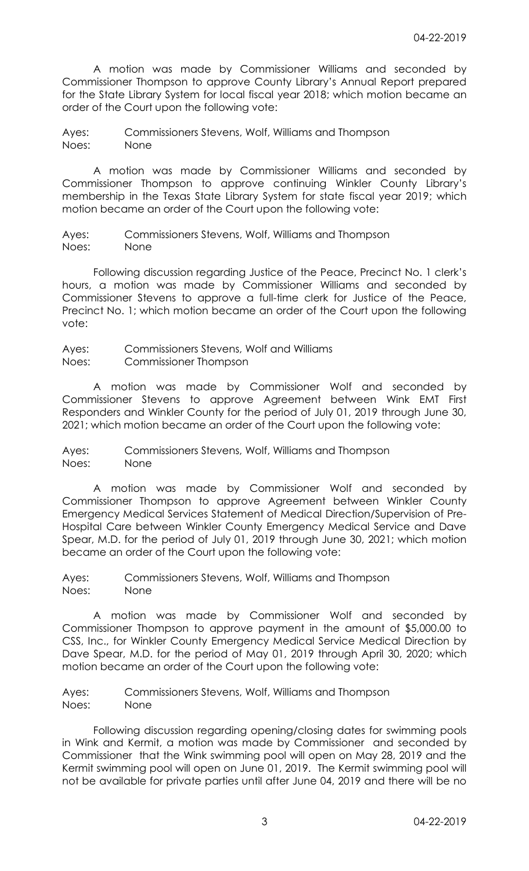A motion was made by Commissioner Williams and seconded by Commissioner Thompson to approve County Library's Annual Report prepared for the State Library System for local fiscal year 2018; which motion became an order of the Court upon the following vote:

Ayes: Commissioners Stevens, Wolf, Williams and Thompson Noes: None

A motion was made by Commissioner Williams and seconded by Commissioner Thompson to approve continuing Winkler County Library's membership in the Texas State Library System for state fiscal year 2019; which motion became an order of the Court upon the following vote:

Ayes: Commissioners Stevens, Wolf, Williams and Thompson Noes: None

Following discussion regarding Justice of the Peace, Precinct No. 1 clerk's hours, a motion was made by Commissioner Williams and seconded by Commissioner Stevens to approve a full-time clerk for Justice of the Peace, Precinct No. 1; which motion became an order of the Court upon the following vote:

Ayes: Commissioners Stevens, Wolf and Williams Noes: Commissioner Thompson

A motion was made by Commissioner Wolf and seconded by Commissioner Stevens to approve Agreement between Wink EMT First Responders and Winkler County for the period of July 01, 2019 through June 30, 2021; which motion became an order of the Court upon the following vote:

Ayes: Commissioners Stevens, Wolf, Williams and Thompson Noes: None

A motion was made by Commissioner Wolf and seconded by Commissioner Thompson to approve Agreement between Winkler County Emergency Medical Services Statement of Medical Direction/Supervision of Pre-Hospital Care between Winkler County Emergency Medical Service and Dave Spear, M.D. for the period of July 01, 2019 through June 30, 2021; which motion became an order of the Court upon the following vote:

Ayes: Commissioners Stevens, Wolf, Williams and Thompson Noes: None

A motion was made by Commissioner Wolf and seconded by Commissioner Thompson to approve payment in the amount of \$5,000.00 to CSS, Inc., for Winkler County Emergency Medical Service Medical Direction by Dave Spear, M.D. for the period of May 01, 2019 through April 30, 2020; which motion became an order of the Court upon the following vote:

Ayes: Commissioners Stevens, Wolf, Williams and Thompson Noes: None

Following discussion regarding opening/closing dates for swimming pools in Wink and Kermit, a motion was made by Commissioner and seconded by Commissioner that the Wink swimming pool will open on May 28, 2019 and the Kermit swimming pool will open on June 01, 2019. The Kermit swimming pool will not be available for private parties until after June 04, 2019 and there will be no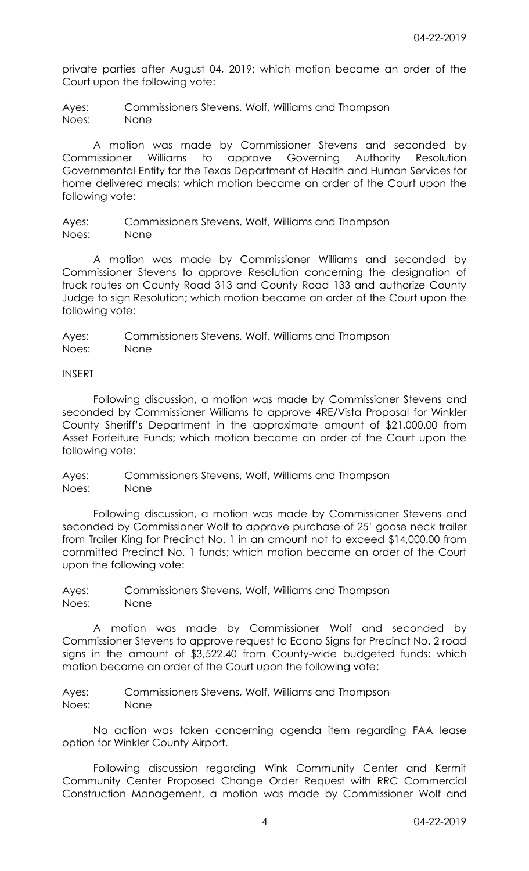private parties after August 04, 2019; which motion became an order of the Court upon the following vote:

Ayes: Commissioners Stevens, Wolf, Williams and Thompson Noes: None

A motion was made by Commissioner Stevens and seconded by Commissioner Williams to approve Governing Authority Resolution Governmental Entity for the Texas Department of Health and Human Services for home delivered meals; which motion became an order of the Court upon the following vote:

Ayes: Commissioners Stevens, Wolf, Williams and Thompson Noes: None

A motion was made by Commissioner Williams and seconded by Commissioner Stevens to approve Resolution concerning the designation of truck routes on County Road 313 and County Road 133 and authorize County Judge to sign Resolution; which motion became an order of the Court upon the following vote:

Ayes: Commissioners Stevens, Wolf, Williams and Thompson Noes: None

INSERT

Following discussion, a motion was made by Commissioner Stevens and seconded by Commissioner Williams to approve 4RE/Vista Proposal for Winkler County Sheriff's Department in the approximate amount of \$21,000.00 from Asset Forfeiture Funds; which motion became an order of the Court upon the following vote:

Ayes: Commissioners Stevens, Wolf, Williams and Thompson Noes: None

Following discussion, a motion was made by Commissioner Stevens and seconded by Commissioner Wolf to approve purchase of 25' goose neck trailer from Trailer King for Precinct No. 1 in an amount not to exceed \$14,000.00 from committed Precinct No. 1 funds; which motion became an order of the Court upon the following vote:

Ayes: Commissioners Stevens, Wolf, Williams and Thompson Noes: None

A motion was made by Commissioner Wolf and seconded by Commissioner Stevens to approve request to Econo Signs for Precinct No. 2 road signs in the amount of \$3,522.40 from County-wide budgeted funds; which motion became an order of the Court upon the following vote:

Ayes: Commissioners Stevens, Wolf, Williams and Thompson Noes: None

No action was taken concerning agenda item regarding FAA lease option for Winkler County Airport.

Following discussion regarding Wink Community Center and Kermit Community Center Proposed Change Order Request with RRC Commercial Construction Management, a motion was made by Commissioner Wolf and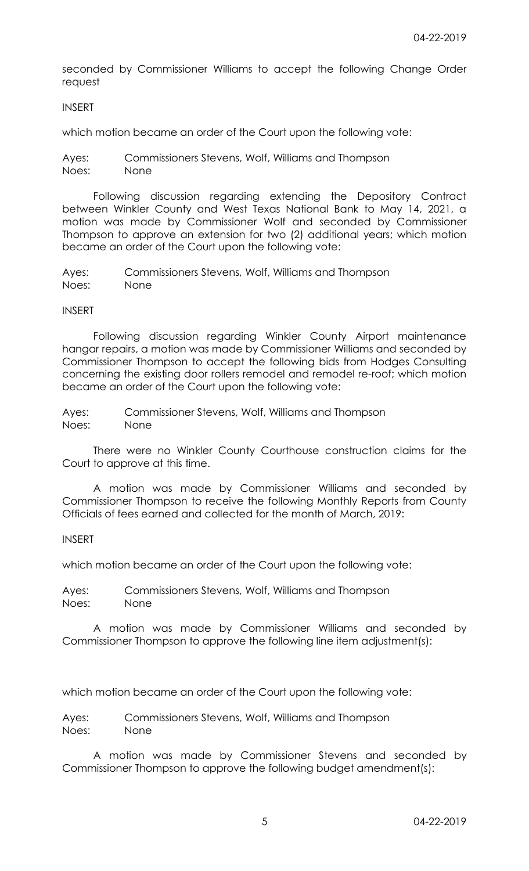seconded by Commissioner Williams to accept the following Change Order request

## INSERT

which motion became an order of the Court upon the following vote:

Ayes: Commissioners Stevens, Wolf, Williams and Thompson Noes: None

Following discussion regarding extending the Depository Contract between Winkler County and West Texas National Bank to May 14, 2021, a motion was made by Commissioner Wolf and seconded by Commissioner Thompson to approve an extension for two (2) additional years; which motion became an order of the Court upon the following vote:

Ayes: Commissioners Stevens, Wolf, Williams and Thompson Noes: None

## INSERT

Following discussion regarding Winkler County Airport maintenance hangar repairs, a motion was made by Commissioner Williams and seconded by Commissioner Thompson to accept the following bids from Hodges Consulting concerning the existing door rollers remodel and remodel re-roof; which motion became an order of the Court upon the following vote:

Ayes: Commissioner Stevens, Wolf, Williams and Thompson Noes: None

There were no Winkler County Courthouse construction claims for the Court to approve at this time.

A motion was made by Commissioner Williams and seconded by Commissioner Thompson to receive the following Monthly Reports from County Officials of fees earned and collected for the month of March, 2019:

## INSERT

which motion became an order of the Court upon the following vote:

Ayes: Commissioners Stevens, Wolf, Williams and Thompson Noes: None

A motion was made by Commissioner Williams and seconded by Commissioner Thompson to approve the following line item adjustment(s):

which motion became an order of the Court upon the following vote:

Ayes: Commissioners Stevens, Wolf, Williams and Thompson Noes: None

A motion was made by Commissioner Stevens and seconded by Commissioner Thompson to approve the following budget amendment(s):